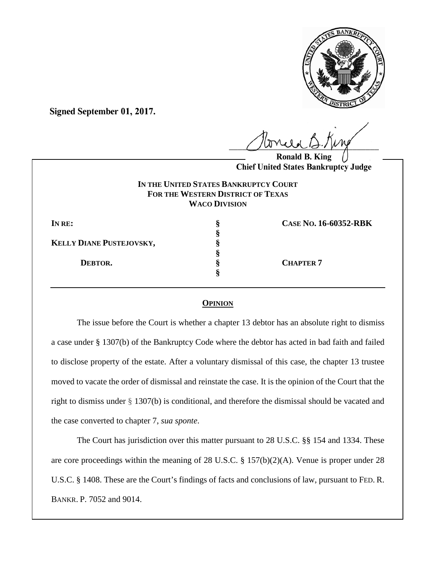

**Signed September 01, 2017.**

 $U^{WVWW}$ 

**Ronald B. Chief United States Bankruptcy Judge**

## **IN THE UNITED STATES BANKRUPTCY COURT FOR THE WESTERN DISTRICT OF TEXAS WACO DIVISION**

| IN RE:                          | CASE No. 16-60352-RBK |
|---------------------------------|-----------------------|
|                                 |                       |
| <b>KELLY DIANE PUSTEJOVSKY,</b> |                       |
|                                 |                       |
| DEBTOR.                         | <b>CHAPTER 7</b>      |
|                                 |                       |
|                                 |                       |

## **OPINION**

The issue before the Court is whether a chapter 13 debtor has an absolute right to dismiss a case under § 1307(b) of the Bankruptcy Code where the debtor has acted in bad faith and failed to disclose property of the estate. After a voluntary dismissal of this case, the chapter 13 trustee moved to vacate the order of dismissal and reinstate the case. It is the opinion of the Court that the right to dismiss under § 1307(b) is conditional, and therefore the dismissal should be vacated and the case converted to chapter 7, *sua sponte*.

The Court has jurisdiction over this matter pursuant to 28 U.S.C. §§ 154 and 1334. These are core proceedings within the meaning of 28 U.S.C. § 157(b)(2)(A). Venue is proper under 28 U.S.C. § 1408. These are the Court's findings of facts and conclusions of law, pursuant to FED. R. BANKR. P. 7052 and 9014.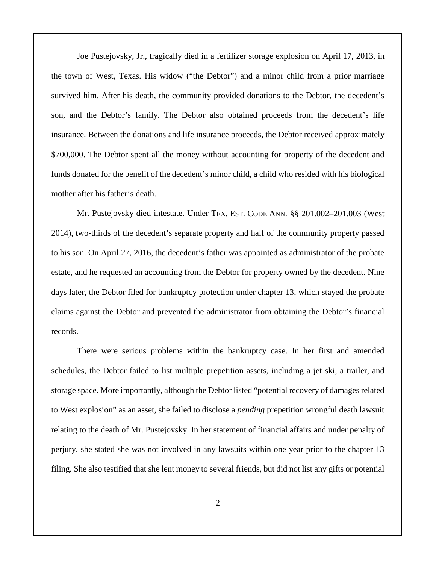Joe Pustejovsky, Jr., tragically died in a fertilizer storage explosion on April 17, 2013, in the town of West, Texas. His widow ("the Debtor") and a minor child from a prior marriage survived him. After his death, the community provided donations to the Debtor, the decedent's son, and the Debtor's family. The Debtor also obtained proceeds from the decedent's life insurance. Between the donations and life insurance proceeds, the Debtor received approximately \$700,000. The Debtor spent all the money without accounting for property of the decedent and funds donated for the benefit of the decedent's minor child, a child who resided with his biological mother after his father's death.

Mr. Pustejovsky died intestate. Under TEX. EST. CODE ANN. §§ 201.002–201.003 (West 2014), two-thirds of the decedent's separate property and half of the community property passed to his son. On April 27, 2016, the decedent's father was appointed as administrator of the probate estate, and he requested an accounting from the Debtor for property owned by the decedent. Nine days later, the Debtor filed for bankruptcy protection under chapter 13, which stayed the probate claims against the Debtor and prevented the administrator from obtaining the Debtor's financial records.

There were serious problems within the bankruptcy case. In her first and amended schedules, the Debtor failed to list multiple prepetition assets, including a jet ski, a trailer, and storage space. More importantly, although the Debtor listed "potential recovery of damages related to West explosion" as an asset, she failed to disclose a *pending* prepetition wrongful death lawsuit relating to the death of Mr. Pustejovsky. In her statement of financial affairs and under penalty of perjury, she stated she was not involved in any lawsuits within one year prior to the chapter 13 filing. She also testified that she lent money to several friends, but did not list any gifts or potential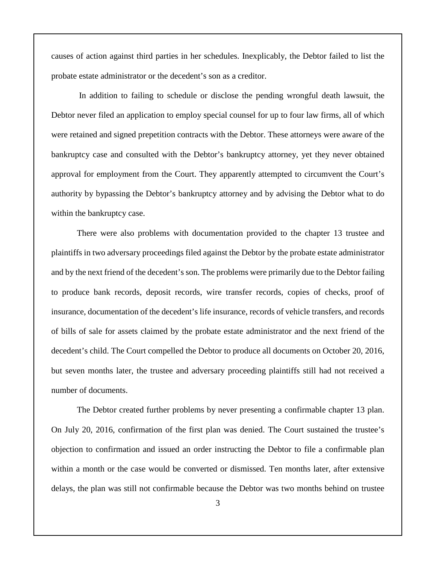causes of action against third parties in her schedules. Inexplicably, the Debtor failed to list the probate estate administrator or the decedent's son as a creditor.

In addition to failing to schedule or disclose the pending wrongful death lawsuit, the Debtor never filed an application to employ special counsel for up to four law firms, all of which were retained and signed prepetition contracts with the Debtor. These attorneys were aware of the bankruptcy case and consulted with the Debtor's bankruptcy attorney, yet they never obtained approval for employment from the Court. They apparently attempted to circumvent the Court's authority by bypassing the Debtor's bankruptcy attorney and by advising the Debtor what to do within the bankruptcy case.

There were also problems with documentation provided to the chapter 13 trustee and plaintiffs in two adversary proceedings filed against the Debtor by the probate estate administrator and by the next friend of the decedent's son. The problems were primarily due to the Debtor failing to produce bank records, deposit records, wire transfer records, copies of checks, proof of insurance, documentation of the decedent's life insurance, records of vehicle transfers, and records of bills of sale for assets claimed by the probate estate administrator and the next friend of the decedent's child. The Court compelled the Debtor to produce all documents on October 20, 2016, but seven months later, the trustee and adversary proceeding plaintiffs still had not received a number of documents.

The Debtor created further problems by never presenting a confirmable chapter 13 plan. On July 20, 2016, confirmation of the first plan was denied. The Court sustained the trustee's objection to confirmation and issued an order instructing the Debtor to file a confirmable plan within a month or the case would be converted or dismissed. Ten months later, after extensive delays, the plan was still not confirmable because the Debtor was two months behind on trustee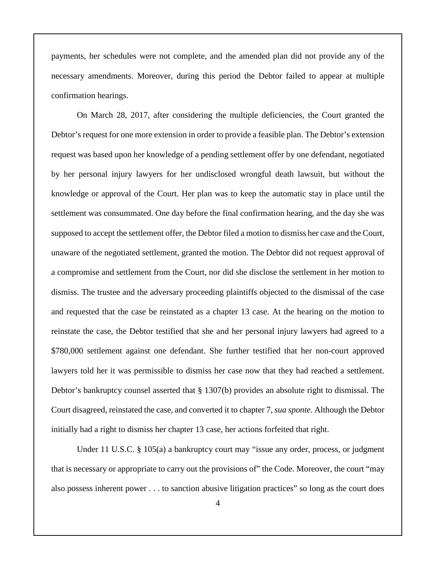payments, her schedules were not complete, and the amended plan did not provide any of the necessary amendments. Moreover, during this period the Debtor failed to appear at multiple confirmation hearings.

On March 28, 2017, after considering the multiple deficiencies, the Court granted the Debtor's request for one more extension in order to provide a feasible plan. The Debtor's extension request was based upon her knowledge of a pending settlement offer by one defendant, negotiated by her personal injury lawyers for her undisclosed wrongful death lawsuit, but without the knowledge or approval of the Court. Her plan was to keep the automatic stay in place until the settlement was consummated. One day before the final confirmation hearing, and the day she was supposed to accept the settlement offer, the Debtor filed a motion to dismiss her case and the Court, unaware of the negotiated settlement, granted the motion. The Debtor did not request approval of a compromise and settlement from the Court, nor did she disclose the settlement in her motion to dismiss. The trustee and the adversary proceeding plaintiffs objected to the dismissal of the case and requested that the case be reinstated as a chapter 13 case. At the hearing on the motion to reinstate the case, the Debtor testified that she and her personal injury lawyers had agreed to a \$780,000 settlement against one defendant. She further testified that her non-court approved lawyers told her it was permissible to dismiss her case now that they had reached a settlement. Debtor's bankruptcy counsel asserted that § 1307(b) provides an absolute right to dismissal. The Court disagreed, reinstated the case, and converted it to chapter 7, *sua sponte*. Although the Debtor initially had a right to dismiss her chapter 13 case, her actions forfeited that right.

Under 11 U.S.C. § 105(a) a bankruptcy court may "issue any order, process, or judgment that is necessary or appropriate to carry out the provisions of" the Code. Moreover, the court "may also possess inherent power . . . to sanction abusive litigation practices" so long as the court does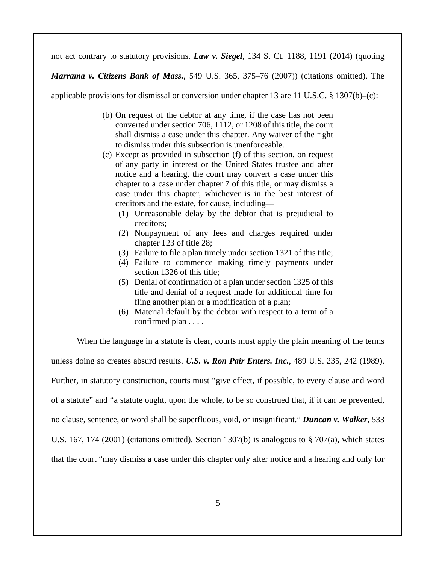not act contrary to statutory provisions. *Law v. Siegel*, 134 S. Ct. 1188, 1191 (2014) (quoting

*Marrama v. Citizens Bank of Mass.*, 549 U.S. 365, 375–76 (2007)) (citations omitted). The

applicable provisions for dismissal or conversion under chapter 13 are 11 U.S.C. § 1307(b)–(c):

- (b) On request of the debtor at any time, if the case has not been converted under section 706, 1112, or 1208 of this title, the court shall dismiss a case under this chapter. Any waiver of the right to dismiss under this subsection is unenforceable.
- (c) Except as provided in subsection (f) of this section, on request of any party in interest or the United States trustee and after notice and a hearing, the court may convert a case under this chapter to a case under chapter 7 of this title, or may dismiss a case under this chapter, whichever is in the best interest of creditors and the estate, for cause, including—
	- (1) Unreasonable delay by the debtor that is prejudicial to creditors;
	- (2) Nonpayment of any fees and charges required under chapter 123 of title 28;
	- (3) Failure to file a plan timely under section 1321 of this title;
	- (4) Failure to commence making timely payments under section 1326 of this title;
	- (5) Denial of confirmation of a plan under section 1325 of this title and denial of a request made for additional time for fling another plan or a modification of a plan;
	- (6) Material default by the debtor with respect to a term of a confirmed plan . . . .

When the language in a statute is clear, courts must apply the plain meaning of the terms

unless doing so creates absurd results. *U.S. v. Ron Pair Enters. Inc.*, 489 U.S. 235, 242 (1989).

Further, in statutory construction, courts must "give effect, if possible, to every clause and word

of a statute" and "a statute ought, upon the whole, to be so construed that, if it can be prevented,

no clause, sentence, or word shall be superfluous, void, or insignificant." *Duncan v. Walker*, 533

U.S. 167, 174 (2001) (citations omitted). Section 1307(b) is analogous to  $\S$  707(a), which states

that the court "may dismiss a case under this chapter only after notice and a hearing and only for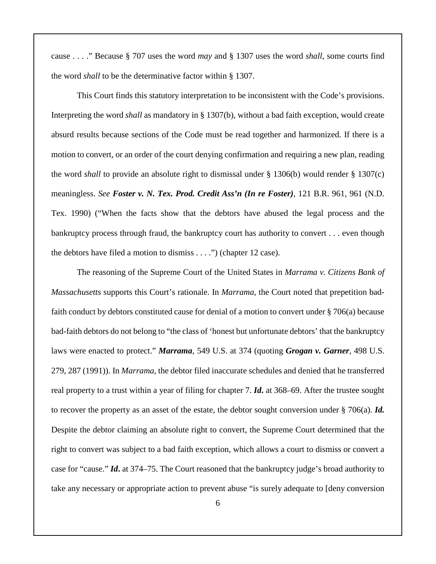cause . . . ." Because § 707 uses the word *may* and § 1307 uses the word *shall*, some courts find the word *shall* to be the determinative factor within § 1307.

This Court finds this statutory interpretation to be inconsistent with the Code's provisions. Interpreting the word *shall* as mandatory in § 1307(b), without a bad faith exception, would create absurd results because sections of the Code must be read together and harmonized. If there is a motion to convert, or an order of the court denying confirmation and requiring a new plan, reading the word *shall* to provide an absolute right to dismissal under § 1306(b) would render § 1307(c) meaningless. *See Foster v. N. Tex. Prod. Credit Ass'n (In re Foster)*, 121 B.R. 961, 961 (N.D. Tex. 1990) ("When the facts show that the debtors have abused the legal process and the bankruptcy process through fraud, the bankruptcy court has authority to convert . . . even though the debtors have filed a motion to dismiss . . . .") (chapter 12 case).

The reasoning of the Supreme Court of the United States in *Marrama v. Citizens Bank of Massachusetts* supports this Court's rationale. In *Marrama*, the Court noted that prepetition badfaith conduct by debtors constituted cause for denial of a motion to convert under § 706(a) because bad-faith debtors do not belong to "the class of 'honest but unfortunate debtors' that the bankruptcy laws were enacted to protect." *Marrama*, 549 U.S. at 374 (quoting *Grogan v. Garner*, 498 U.S. 279, 287 (1991)). In *Marrama*, the debtor filed inaccurate schedules and denied that he transferred real property to a trust within a year of filing for chapter 7. *Id***.** at 368–69. After the trustee sought to recover the property as an asset of the estate, the debtor sought conversion under § 706(a). *Id.* Despite the debtor claiming an absolute right to convert, the Supreme Court determined that the right to convert was subject to a bad faith exception, which allows a court to dismiss or convert a case for "cause." *Id***.** at 374–75. The Court reasoned that the bankruptcy judge's broad authority to take any necessary or appropriate action to prevent abuse "is surely adequate to [deny conversion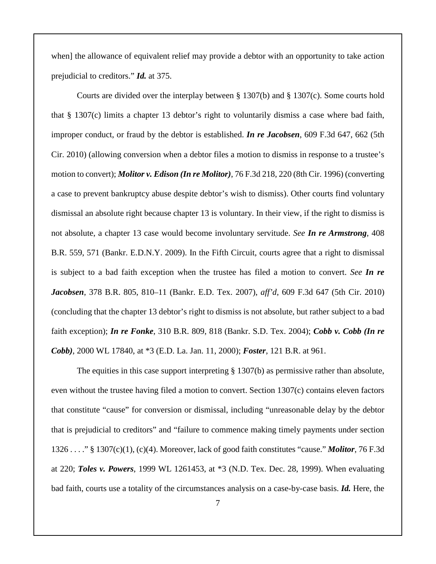when] the allowance of equivalent relief may provide a debtor with an opportunity to take action prejudicial to creditors." *Id.* at 375.

Courts are divided over the interplay between § 1307(b) and § 1307(c). Some courts hold that § 1307(c) limits a chapter 13 debtor's right to voluntarily dismiss a case where bad faith, improper conduct, or fraud by the debtor is established. *In re Jacobsen*, 609 F.3d 647, 662 (5th Cir. 2010) (allowing conversion when a debtor files a motion to dismiss in response to a trustee's motion to convert); *Molitor v. Edison (In re Molitor)*, 76 F.3d 218, 220 (8th Cir. 1996) (converting a case to prevent bankruptcy abuse despite debtor's wish to dismiss). Other courts find voluntary dismissal an absolute right because chapter 13 is voluntary. In their view, if the right to dismiss is not absolute, a chapter 13 case would become involuntary servitude. *See In re Armstrong*, 408 B.R. 559, 571 (Bankr. E.D.N.Y. 2009). In the Fifth Circuit, courts agree that a right to dismissal is subject to a bad faith exception when the trustee has filed a motion to convert. *See In re Jacobsen*, 378 B.R. 805, 810–11 (Bankr. E.D. Tex. 2007), *aff'd*, 609 F.3d 647 (5th Cir. 2010) (concluding that the chapter 13 debtor's right to dismiss is not absolute, but rather subject to a bad faith exception); *In re Fonke*, 310 B.R. 809, 818 (Bankr. S.D. Tex. 2004); *Cobb v. Cobb (In re Cobb)*, 2000 WL 17840, at \*3 (E.D. La. Jan. 11, 2000); *Foster*, 121 B.R. at 961.

The equities in this case support interpreting § 1307(b) as permissive rather than absolute, even without the trustee having filed a motion to convert. Section 1307(c) contains eleven factors that constitute "cause" for conversion or dismissal, including "unreasonable delay by the debtor that is prejudicial to creditors" and "failure to commence making timely payments under section 1326 . . . ." § 1307(c)(1), (c)(4). Moreover, lack of good faith constitutes "cause." *Molitor*, 76 F.3d at 220; *Toles v. Powers*, 1999 WL 1261453, at \*3 (N.D. Tex. Dec. 28, 1999). When evaluating bad faith, courts use a totality of the circumstances analysis on a case-by-case basis. *Id.* Here, the